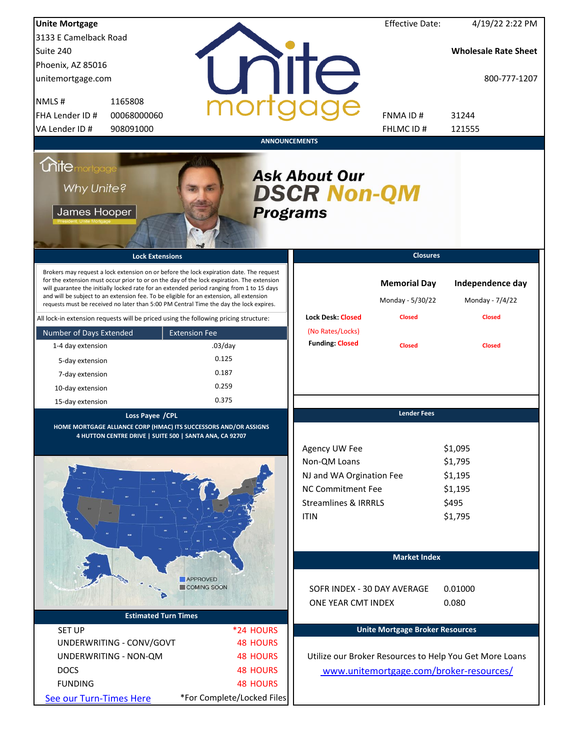| <b>Unite Mortgage</b>                                     |                                                                                                                                                                                                                                                                                                                                                                                                                                                                        |                            |                                                                                                                                  | <b>Effective Date:</b>                  | 4/19/22 2:22 PM                                              |
|-----------------------------------------------------------|------------------------------------------------------------------------------------------------------------------------------------------------------------------------------------------------------------------------------------------------------------------------------------------------------------------------------------------------------------------------------------------------------------------------------------------------------------------------|----------------------------|----------------------------------------------------------------------------------------------------------------------------------|-----------------------------------------|--------------------------------------------------------------|
| 3133 E Camelback Road                                     |                                                                                                                                                                                                                                                                                                                                                                                                                                                                        |                            |                                                                                                                                  |                                         |                                                              |
| Suite 240                                                 |                                                                                                                                                                                                                                                                                                                                                                                                                                                                        |                            |                                                                                                                                  |                                         | <b>Wholesale Rate Sheet</b>                                  |
| Phoenix, AZ 85016                                         |                                                                                                                                                                                                                                                                                                                                                                                                                                                                        |                            |                                                                                                                                  |                                         |                                                              |
| unitemortgage.com                                         |                                                                                                                                                                                                                                                                                                                                                                                                                                                                        |                            | <b>ilTe</b>                                                                                                                      |                                         | 800-777-1207                                                 |
| NMLS#<br>1165808                                          |                                                                                                                                                                                                                                                                                                                                                                                                                                                                        |                            |                                                                                                                                  |                                         |                                                              |
| FHA Lender ID #                                           | 00068000060                                                                                                                                                                                                                                                                                                                                                                                                                                                            |                            |                                                                                                                                  | FNMA ID#                                | 31244                                                        |
| VA Lender ID #                                            | 908091000                                                                                                                                                                                                                                                                                                                                                                                                                                                              |                            |                                                                                                                                  | FHLMC ID#                               | 121555                                                       |
|                                                           |                                                                                                                                                                                                                                                                                                                                                                                                                                                                        | <b>ANNOUNCEMENTS</b>       |                                                                                                                                  |                                         |                                                              |
| <i><b>Unitemortgage</b></i><br>Why Unite?<br>James Hooper |                                                                                                                                                                                                                                                                                                                                                                                                                                                                        | <b>Programs</b>            | <b>Ask About Our</b><br><b>DSCR Non-QM</b>                                                                                       |                                         |                                                              |
|                                                           | <b>Lock Extensions</b>                                                                                                                                                                                                                                                                                                                                                                                                                                                 |                            |                                                                                                                                  | <b>Closures</b>                         |                                                              |
|                                                           | Brokers may request a lock extension on or before the lock expiration date. The request<br>for the extension must occur prior to or on the day of the lock expiration. The extension<br>will guarantee the initially locked rate for an extended period ranging from 1 to 15 days<br>and will be subject to an extension fee. To be eligible for an extension, all extension<br>requests must be received no later than 5:00 PM Central Time the day the lock expires. |                            |                                                                                                                                  | <b>Memorial Day</b><br>Monday - 5/30/22 | Independence day<br>Monday - 7/4/22                          |
|                                                           | All lock-in extension requests will be priced using the following pricing structure:                                                                                                                                                                                                                                                                                                                                                                                   |                            | <b>Lock Desk: Closed</b>                                                                                                         | <b>Closed</b>                           | <b>Closed</b>                                                |
| Number of Days Extended                                   | <b>Extension Fee</b>                                                                                                                                                                                                                                                                                                                                                                                                                                                   |                            | (No Rates/Locks)                                                                                                                 |                                         |                                                              |
| 1-4 day extension                                         |                                                                                                                                                                                                                                                                                                                                                                                                                                                                        | $.03$ /day                 | <b>Funding: Closed</b>                                                                                                           | <b>Closed</b>                           | <b>Closed</b>                                                |
| 5-day extension                                           | 0.125                                                                                                                                                                                                                                                                                                                                                                                                                                                                  |                            |                                                                                                                                  |                                         |                                                              |
| 7-day extension                                           | 0.187                                                                                                                                                                                                                                                                                                                                                                                                                                                                  |                            |                                                                                                                                  |                                         |                                                              |
| 10-day extension                                          | 0.259                                                                                                                                                                                                                                                                                                                                                                                                                                                                  |                            |                                                                                                                                  |                                         |                                                              |
| 15-day extension                                          | 0.375                                                                                                                                                                                                                                                                                                                                                                                                                                                                  |                            |                                                                                                                                  |                                         |                                                              |
|                                                           | Loss Payee / CPL<br>HOME MORTGAGE ALLIANCE CORP (HMAC) ITS SUCCESSORS AND/OR ASSIGNS<br>4 HUTTON CENTRE DRIVE   SUITE 500   SANTA ANA, CA 92707                                                                                                                                                                                                                                                                                                                        |                            | Agency UW Fee<br>Non-QM Loans<br>NJ and WA Orgination Fee<br>NC Commitment Fee<br><b>Streamlines &amp; IRRRLS</b><br><b>ITIN</b> | <b>Lender Fees</b>                      | \$1,095<br>\$1,795<br>\$1,195<br>\$1,195<br>\$495<br>\$1,795 |
|                                                           |                                                                                                                                                                                                                                                                                                                                                                                                                                                                        |                            |                                                                                                                                  | <b>Market Index</b>                     |                                                              |
|                                                           | <b>APPROVED</b>                                                                                                                                                                                                                                                                                                                                                                                                                                                        |                            |                                                                                                                                  |                                         |                                                              |
|                                                           | COMING SOON                                                                                                                                                                                                                                                                                                                                                                                                                                                            |                            | SOFR INDEX - 30 DAY AVERAGE                                                                                                      |                                         | 0.01000                                                      |
|                                                           |                                                                                                                                                                                                                                                                                                                                                                                                                                                                        |                            | ONE YEAR CMT INDEX                                                                                                               |                                         | 0.080                                                        |
|                                                           | <b>Estimated Turn Times</b>                                                                                                                                                                                                                                                                                                                                                                                                                                            |                            |                                                                                                                                  |                                         |                                                              |
| <b>SET UP</b>                                             |                                                                                                                                                                                                                                                                                                                                                                                                                                                                        | *24 HOURS                  |                                                                                                                                  | <b>Unite Mortgage Broker Resources</b>  |                                                              |
| UNDERWRITING - CONV/GOVT                                  |                                                                                                                                                                                                                                                                                                                                                                                                                                                                        | <b>48 HOURS</b>            |                                                                                                                                  |                                         |                                                              |
| UNDERWRITING - NON-QM                                     |                                                                                                                                                                                                                                                                                                                                                                                                                                                                        | <b>48 HOURS</b>            |                                                                                                                                  |                                         | Utilize our Broker Resources to Help You Get More Loans      |
| <b>DOCS</b>                                               |                                                                                                                                                                                                                                                                                                                                                                                                                                                                        | <b>48 HOURS</b>            |                                                                                                                                  |                                         | www.unitemortgage.com/broker-resources/                      |
| <b>FUNDING</b>                                            |                                                                                                                                                                                                                                                                                                                                                                                                                                                                        | <b>48 HOURS</b>            |                                                                                                                                  |                                         |                                                              |
| See our Turn-Times Here                                   |                                                                                                                                                                                                                                                                                                                                                                                                                                                                        | *For Complete/Locked Files |                                                                                                                                  |                                         |                                                              |
|                                                           |                                                                                                                                                                                                                                                                                                                                                                                                                                                                        |                            |                                                                                                                                  |                                         |                                                              |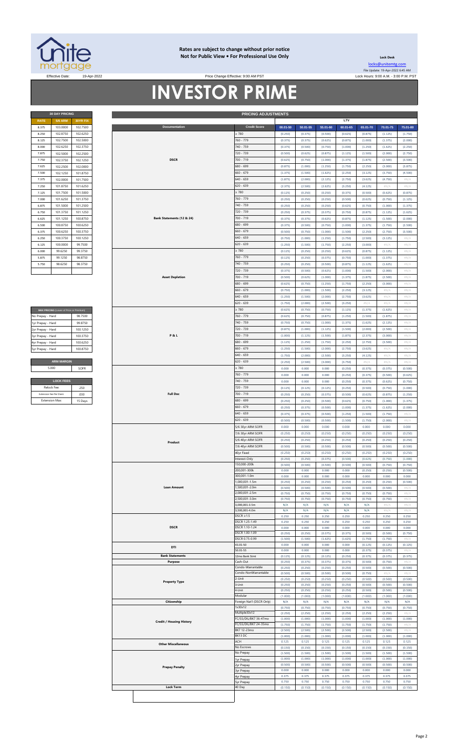

#### **Rates are subject to change without prior notice Not for Public View • For Professional Use Only**

Price Change Effective: 9:00 AM PST

**30 DAY PRICING PRICING ADJUSTMENTS**

┬

**Lock Desk** [locks@unitemtg](mailto:locks@unitemtg.com).com File Update: 19-Apr-2022 6:45 AM Effective Date: 19-Apr-2022 2009.M. PST Price Change Effective: 9:00 AM PST Lock Hours: 9:00 A.M. - 3:00 P.M. PST

8.375 103.0000 102.7500 **00.01-50 50.01-55 55.01-60 60.01-65 65.01-70 70.01-75 75.01-80**

**LTV**

## **INVESTOR PRIME**

**Documentation** 

| <b>30 DAY PRICING</b> |                |                 |  |  |  |  |  |  |
|-----------------------|----------------|-----------------|--|--|--|--|--|--|
| <b>RATE</b>           | <b>5/6 ARM</b> | <b>30YR FIX</b> |  |  |  |  |  |  |
| 8.375                 | 103.0000       | 102.7500        |  |  |  |  |  |  |
| 8.250                 | 102.8750       | 102.6250        |  |  |  |  |  |  |
| 8.125                 | 102.7500       | 102.5000        |  |  |  |  |  |  |
| 8.000                 | 102.6250       | 102.3750        |  |  |  |  |  |  |
| 7.875                 | 102.5000       | 102.2500        |  |  |  |  |  |  |
| 7.750                 | 102.3750       | 102.1250        |  |  |  |  |  |  |
| 7.625                 | 102.2500       | 102.0000        |  |  |  |  |  |  |
| 7.500                 | 102.1250       | 101.8750        |  |  |  |  |  |  |
| 7.375                 | 102.0000       | 101.7500        |  |  |  |  |  |  |
| 7.250                 | 101.8750       | 101.6250        |  |  |  |  |  |  |
| 7.125                 | 101.7500       | 101.5000        |  |  |  |  |  |  |
| 7.000                 | 101.6250       | 101.3750        |  |  |  |  |  |  |
| 6.875                 | 101.5000       | 101.2500        |  |  |  |  |  |  |
| 6.750                 | 101.3750       | 101.1250        |  |  |  |  |  |  |
| 6.625                 | 101.1250       | 100.8750        |  |  |  |  |  |  |
| 6.500                 | 100.8750       | 100.6250        |  |  |  |  |  |  |
| 6.375                 | 100.6250       | 100.3750        |  |  |  |  |  |  |
| 6.250                 | 100.3750       | 100.1250        |  |  |  |  |  |  |
| 6.125                 | 100,0000       | 99.7500         |  |  |  |  |  |  |
| 6.000                 | 99.6250        | 99.3750         |  |  |  |  |  |  |
| 5.875                 | 99.1250        | 98.8750         |  |  |  |  |  |  |
| 5.750                 | 98.6250        | 98.3750         |  |  |  |  |  |  |
|                       |                |                 |  |  |  |  |  |  |

| MAX PRICING (Lower of Price or Premium) |          |  |  |  |  |  |  |  |  |
|-----------------------------------------|----------|--|--|--|--|--|--|--|--|
| No Prepay - Hard                        | 987500   |  |  |  |  |  |  |  |  |
| 1yr Prepay - Hard                       | 99 8750  |  |  |  |  |  |  |  |  |
| 2yr Prepay - Hard                       | 100 1250 |  |  |  |  |  |  |  |  |
| 3yr Prepay - Hard                       | 100 3750 |  |  |  |  |  |  |  |  |
| 4yr Prepay - Hard                       | 100 6250 |  |  |  |  |  |  |  |  |
| 5yr Prepay - Hard                       | 100.8750 |  |  |  |  |  |  |  |  |
|                                         |          |  |  |  |  |  |  |  |  |
| <b>ARM MARGIN</b>                       |          |  |  |  |  |  |  |  |  |
| 5.000                                   | SOFR     |  |  |  |  |  |  |  |  |
|                                         |          |  |  |  |  |  |  |  |  |
| <b>LOCK FEES</b>                        |          |  |  |  |  |  |  |  |  |
| Relock Fee:                             | 250      |  |  |  |  |  |  |  |  |

| 8.250             | 102.8750                                | 102.6250 |  |                 |                                 |           | 2780                      | (0.250) | (0.375) | (0.500) | (0.625) | (0.875) | (1.125) | (1.750)                    |
|-------------------|-----------------------------------------|----------|--|-----------------|---------------------------------|-----------|---------------------------|---------|---------|---------|---------|---------|---------|----------------------------|
| 8.125             | 102.7500                                | 102.5000 |  |                 |                                 | 760 - 779 | (0.375)                   | (0.375) | (0.625) | (0.875) | (1.000) |         |         |                            |
|                   |                                         |          |  |                 |                                 |           |                           |         |         |         |         | (1.375) | (2.000) |                            |
| 8.000             | 102.6250                                | 102.3750 |  |                 | <b>DSCR</b>                     |           | 740 - 759                 | (0.375) | (0.500) | (0.750) | (1.000) | (1.250) | (1.625) | (2.250)                    |
| 7.875             | 102.5000                                | 102.2500 |  |                 |                                 |           | 720 - 739                 | (0.500) | (0.625) | (0.875) | (1.125) | (1.500) | (2.000) | (2.750)                    |
| 7.750             | 102.3750                                | 102.1250 |  |                 |                                 |           | $700 - 719$               | (0.625) | (0.750) | (1.000) | (1.375) | (1.875) | (2.500) | (3.500)                    |
|                   | 102.2500                                | 102.0000 |  |                 |                                 |           | 680 - 699                 |         |         |         |         |         |         |                            |
| 7.625             |                                         |          |  |                 |                                 |           |                           | (0.875) | (1.000) | (1.250) | (1.750) | (2.250) | (3.000) | (3.875)                    |
| 7.500             | 102.1250                                | 101.8750 |  |                 |                                 |           | $660 - 679$               | (1.375) | (1.500) | (1.625) | (2.250) | (3.125) | (3.750) | (4.500)                    |
| 7.375             | 102.0000                                | 101.7500 |  |                 |                                 | 540 - 659 | (1.875)                   | (2.000) | (2.125) | (2.750) | (3.625) | (4.750) | H N/A   |                            |
| 7.250             | 101.8750                                | 101.6250 |  |                 |                                 |           | $620 - 639$               | (2.375) | (2.500) | (2.625) | (3.250) | (4.125) | #N/A    | #N/A                       |
|                   |                                         |          |  |                 |                                 |           |                           |         |         |         |         |         |         |                            |
| 7.125             | 101.7500                                | 101.5000 |  |                 |                                 |           | 2780                      | (0.125) | (0.250) | (0.250) | (0.375) | (0.500) | (0.625) | (0.875)                    |
| 7.000             | 101.6250                                | 101.3750 |  |                 |                                 |           | 760 - 779                 | (0.250) | (0.250) | (0.250) | (0.500) | (0.625) | (0.750) | (1.125)                    |
| 6.875             | 101.5000                                | 101.2500 |  |                 |                                 |           | 740 - 759                 | (0.250) | (0.250) | (0.250) | (0.625) | (0.750) | (1.000) | (1.375)                    |
| 6.750             |                                         |          |  |                 |                                 |           | 720 - 739                 |         |         |         |         |         |         |                            |
|                   | 101.3750                                | 101.1250 |  |                 |                                 |           |                           | (0.250) | (0.375) | (0.375) | (0.750) | (0.875) | (1.125) | (1.625)                    |
| 6.625             | 101.1250                                | 100.8750 |  |                 | Bank Statements (12 & 24)       |           | 700 - 719                 | (0.375) | (0.375) | (0.625) | (0.875) | (1.125) | (1.500) | (2.000)                    |
| 6.500             | 100.8750                                | 100.6250 |  |                 |                                 |           | 680 - 699                 | (0.375) | (0.500) | (0.750) | (1.000) | (1.375) | (1.750) | (2.500)                    |
| 6.375             | 100.6250                                | 100.3750 |  |                 |                                 |           | $660 - 679$               | (0.500) | (0.750) | (1.000) | (1.500) | (2.250) | (2.750) | (3.500)                    |
|                   |                                         |          |  |                 |                                 |           |                           |         |         |         |         |         |         |                            |
| 6.250             | 100.3750                                | 100.1250 |  |                 |                                 |           | $640 - 659$               | (0.750) | (1.000) | (1.250) | (1.750) | (2.500) | (3.125) | $\#N/A$                    |
| 6.125             | 100.0000                                | 99.7500  |  |                 |                                 |           | $620 - 639$               | (1.250) | (1.500) | (1.750) | (2.250) | (3.000) | $\#N/A$ | #N/A                       |
| 6.000             | 99.6250                                 | 99.3750  |  |                 |                                 |           | $\geq 780$                | (0.125) | (0.250) | (0.250) | (0.625) | (0.875) | (1.125) | $\#N/A$                    |
|                   |                                         |          |  |                 |                                 |           |                           |         |         |         |         |         |         |                            |
| 5.875             | 99.1250                                 | 98.8750  |  |                 |                                 |           | 760 - 779                 | (0.125) | (0.250) | (0.375) | (0.750) | (1.000) | (1.375) | #N/A                       |
| 5.750             | 98.6250                                 | 98.3750  |  |                 |                                 |           | 740 - 759                 | (0.250) | (0.250) | (0.500) | (0.875) | (1.125) | (1.625) | $\#N/A$                    |
|                   |                                         |          |  |                 |                                 |           | 720 - 739                 | (0.375) | (0.500) | (0.625) | (1.000) | (1.500) | (2.000) | #N/A                       |
|                   |                                         |          |  |                 |                                 |           | 700 - 719                 |         |         |         |         |         |         |                            |
|                   |                                         |          |  |                 | <b>Asset Depletion</b>          |           |                           | (0.500) | (0.625) | (1.000) | (1.375) | (1.875) | (2.500) | #N/A                       |
|                   |                                         |          |  |                 |                                 |           | 680 - 699                 | (0.625) | (0.750) | (1.250) | (1.750) | (2.250) | (3.000) | #N/A                       |
|                   |                                         |          |  |                 |                                 |           | $660 - 679$               | (0.750) | (1.000) | (1.500) | (2.250) | (3.125) | $\#N/A$ | $\# \mathbb{N}/\mathbb{A}$ |
|                   |                                         |          |  |                 |                                 |           | $640 - 659$               | (1.250) | (1.500) | (2.000) | (2.750) | (3.625) | #N/A    | $\#N/A$                    |
|                   |                                         |          |  |                 |                                 |           |                           |         |         |         |         |         |         |                            |
|                   |                                         |          |  |                 |                                 |           | $620 - 639$               | (1.750) | (2.000) | (2.500) | (3.250) | #N/A    | #N/A    | $\#N/A$                    |
|                   | MAX PRICING (Lower of Price or Premium) |          |  |                 |                                 |           | $\geq 780$                | (0.625) | (0.750) | (0.750) | (1.125) | (1.375) | (1.625) | $\#N/A$                    |
| No Prepay - Hard  |                                         | 98.7500  |  |                 |                                 |           | 760 - 779                 | (0.625) | (0.750) | (0.875) | (1.250) | (1.500) | (1.875) | $\#N/A$                    |
|                   |                                         |          |  |                 |                                 |           |                           |         |         |         |         |         |         |                            |
| 1yr Prepay - Hard |                                         | 99.8750  |  |                 |                                 |           | 740 - 759                 | (0.750) | (0.750) | (1.000) | (1.375) | (1.625) | (2.125) | $\#N/A$                    |
| 2yr Prepay - Hard |                                         | 100.1250 |  |                 |                                 |           | 720 - 739                 | (0.875) | (1.000) | (1.125) | (1.500) | (2.000) | (2.500) | $\#N/A$                    |
| 3yr Prepay - Hard |                                         | 100.3750 |  |                 | <b>P&amp;L</b>                  |           | 700 - 719                 | (1.000) | (1.125) | (1.500) | (1.875) | (2.375) | (3.000) | #N/A                       |
|                   |                                         |          |  |                 |                                 |           |                           |         |         |         |         |         |         |                            |
| 4yr Prepay - Hard |                                         | 100.6250 |  |                 |                                 |           | 680 - 699                 | (1.125) | (1.250) | (1.750) | (2.250) | (2.750) | (3,500) | $\#N/A$                    |
| 5yr Prepay - Hard |                                         | 100.8750 |  |                 |                                 |           | $660 - 679$               | (1.250) | (1.500) | (2.000) | (2.750) | (3.625) | #N/A    | #N/A                       |
|                   |                                         |          |  |                 |                                 |           | $640 - 659$               | (1.750) | (2.000) | (2.500) | (3.250) | (4.125) | #N/A    | #N/A                       |
|                   | <b>ARM MARGIN</b>                       |          |  |                 |                                 |           | $620 - 639$               | (2.250) | (2.500) | (3.000) | (3.750) | $\#N/A$ | #N/A    | $\#N/A$                    |
|                   |                                         |          |  |                 |                                 |           |                           |         |         |         |         |         |         |                            |
|                   | 5.000                                   | SOFR     |  |                 |                                 |           | $\geq 780$                | 0.000   | 0.000   | 0.000   | (0.250) | (0.375) | (0.375) | (0.500)                    |
|                   |                                         |          |  |                 |                                 |           | 760 - 779                 | 0.000   | 0.000   | 0.000   | (0.250) | (0.375) | (0.500) | (0.625)                    |
|                   | <b>LOCK FEES</b>                        |          |  |                 |                                 |           | 740 - 759                 | 0.000   | 0.000   | 0.000   | (0.250) | (0.375) | (0.625) | (0.750)                    |
|                   | Relock Fee:                             | .250     |  |                 |                                 |           | 720 - 739                 | (0.125) | (0.125) | (0.125) | (0.250) | (0.500) | (0.750) | (1.000)                    |
|                   |                                         |          |  |                 |                                 |           |                           |         |         |         |         |         |         |                            |
|                   | Extension Fee Per Diem                  | .030     |  | <b>Full Doc</b> |                                 | 700 - 719 | (0.250)                   | (0.250) | (0.375) | (0.500) | (0.625) | (0.875) | (1.250) |                            |
|                   | <b>Extension Max:</b>                   | 15 Days  |  |                 |                                 | 680 - 699 | (0.250)                   | (0.250) | (0.500) | (0.625) | (0.750) | (1.000) | (1.375) |                            |
|                   |                                         |          |  |                 |                                 |           | $660 - 679$               | (0.250) | (0.375) | (0.500) | (1.000) | (1.375) | (1.625) | (2.000)                    |
|                   |                                         |          |  |                 |                                 |           |                           |         |         |         |         |         | (1.750) | $\#N/A$                    |
|                   |                                         |          |  |                 |                                 |           |                           |         |         |         |         |         |         |                            |
|                   |                                         |          |  |                 |                                 |           | 640 - 659                 | (0.375) | (0.375) | (0.500) | (1.250) | (1.500) |         |                            |
|                   |                                         |          |  |                 |                                 |           | $620 - 639$               | (0.500) | (0.500) | (0.500) | (1.500) | (1.750) | (2.000) | #N/A                       |
|                   |                                         |          |  |                 |                                 |           | 5/6 30yr ARM SOFR         | 0.000   | 0.000   | 0.000   | 0.000   | 0.000   | 0.000   | 0.000                      |
|                   |                                         |          |  |                 |                                 |           |                           |         |         |         |         |         |         |                            |
|                   |                                         |          |  |                 |                                 |           | 7/6 30yr ARM SOFR         | (0.250) | (0.250) | (0.250) | (0.250) | (0.250) | (0.250) | (0.250)                    |
|                   |                                         |          |  |                 | Product                         |           | 5/6 40yr ARM SOFR         | (0.250) | (0.250) | (0.250) | (0.250) | (0.250) | (0.250) | (0.250)                    |
|                   |                                         |          |  |                 |                                 |           | 7/6 40yr ARM SOFR         | (0.500) | (0.500) | (0.500) | (0.500) | (0.500) | (0.500) | (0.500)                    |
|                   |                                         |          |  |                 |                                 |           | 40yr Fixed                | (0.250) | (0.250) | (0.250) | (0.250) | (0.250) | (0.250) | (0.250)                    |
|                   |                                         |          |  |                 |                                 |           |                           |         |         |         |         |         |         |                            |
|                   |                                         |          |  |                 |                                 |           | Interest-Only             | (0.250) | (0.250) | (0.375) | (0.500) | (0.625) | (0.750) | (1.000)                    |
|                   |                                         |          |  |                 |                                 |           | 150,000-200K              | (0.500) | (0.500) | (0.500) | (0.500) | (0.500) | (0.750) | (0.750)                    |
|                   |                                         |          |  |                 |                                 |           | 200,001-300k              | 0.000   | 0.000   | 0.000   | 0.000   | (0.250) | (0.250) | (0.500)                    |
|                   |                                         |          |  |                 |                                 |           | 300.001-1.0m              | 0.000   | 0.000   | 0.000   | 0.000   | 0.000   | 0.000   | 0.000                      |
|                   |                                         |          |  |                 |                                 |           | 1,000,001-1.5m            | (0.250) | (0.250) | (0.250) | (0.250) | (0.250) | (0.250) | (0.500)                    |
|                   |                                         |          |  |                 | <b>Loan Amount</b>              |           | 1,500,001-2.0m            | (0.500) | (0.500) | (0.500) | (0.500) | (0.500) | (0.500) | #N/A                       |
|                   |                                         |          |  |                 |                                 |           | 2,000,001-2.5m            | (0.750) | (0.750) | (0.750) | (0.750) | (0.750) | (0.750) | #N//                       |
|                   |                                         |          |  |                 |                                 |           | 2,500,001-3.0m            | (0.750) | (0.750) | (0.750) | (0.750) | (0.750) | (0.750) | $\#N/A$                    |
|                   |                                         |          |  |                 |                                 |           |                           |         |         |         |         |         |         |                            |
|                   |                                         |          |  |                 |                                 |           | 3,000,001-3.5m            | N/A     | N/A     | N/A     | N/A     | N/A     | #N/A    | $\#N/A$                    |
|                   |                                         |          |  |                 |                                 |           | 3,500,001-4.0m            | N/A     | N/A     | N/A     | N/A     | N/A     | #N/A    | $\#N/A$                    |
|                   |                                         |          |  |                 |                                 |           | $DSCR \geq 1.5$           | 0.250   | 0.250   | 0.250   | 0.250   | 0.250   | 0.250   | 0.250                      |
|                   |                                         |          |  |                 |                                 |           | DSCR 1.25-1.49            | 0.250   | 0.250   | 0.250   | 0.250   | 0.250   | 0.250   | 0.250                      |
|                   |                                         |          |  |                 | <b>DSCR</b>                     |           | DSCR 1.10-1.24            | 0.000   | 0.000   | 0.000   | 0.000   | 0.000   | 0.000   | 0.000                      |
|                   |                                         |          |  |                 |                                 |           | DSCR 1.00-1.09            | (0.250) | (0.250) | (0.375) | (0.375) | (0.500) | (0.500) | (0.750)                    |
|                   |                                         |          |  |                 |                                 |           | DSCR 0.75-0.99            | (1.500) | (1.500) | (1.625) | (1.625) | (1.750) | (1.750) | #N/A                       |
|                   |                                         |          |  |                 |                                 |           | 43.01-50                  | 0.000   | 0.000   | 0.000   | 0.000   | (0.125) | (0.125) | (0.125)                    |
|                   |                                         |          |  |                 | DTI                             |           | 50.01-55                  | 0.000   | 0.000   | 0.000   | 0.000   | (0.375) | (0.375) | $\#N/A$                    |
|                   |                                         |          |  |                 | <b>Bank Statements</b>          |           | 12mo Bank Stmt            | (0.125) | (0.125) | (0.125) | (0.250) | (0.375) | (0.375) | (0.375)                    |
|                   |                                         |          |  |                 | Purpose                         |           | Cash-Out                  |         |         |         |         | (0.500) | (0.750) | $\#N/I$                    |
|                   |                                         |          |  |                 |                                 |           |                           | (0.250) | (0.375) | (0.375) | (0.375) |         |         |                            |
|                   |                                         |          |  |                 |                                 |           | Condo-Warrantable         | (0.250) | (0.250) | (0.250) | (0.250) | (0.500) | (0.500) | (0.500)                    |
|                   |                                         |          |  |                 |                                 |           | Condo-NonWarrantable      | (0.500) | (0.500) | (0.500) | (0.500) | (0.750) | #N//    | #N/                        |
|                   |                                         |          |  |                 | <b>Property Type</b>            |           | 2-Unit                    | (0.250) | (0.250) | (0.250) | (0.250) | (0.500) | (0.500) | (0.500)                    |
|                   |                                         |          |  |                 |                                 |           | 3-Unit                    | (0.250) | (0.250) | (0.250) | (0.250) | (0.500) | (0.500) | (0.500)                    |
|                   |                                         |          |  |                 |                                 |           | 4-Unit                    | (0.250) | (0.250) | (0.250) | (0.250) | (0.500) | (0.500) | (0.500)                    |
|                   |                                         |          |  |                 |                                 |           | Modular                   | (1.000) | (1.000) | (1.000) | (1.000) | (1.000) | (1.000) | (1.000)                    |
|                   |                                         |          |  |                 | Citizenship                     |           | Foreign Nat'l (DSCR Only) | N/A     | N/A     | N/A     | N/A     | N/A     | N/A     | N/A                        |
|                   |                                         |          |  |                 |                                 |           | 1x30x12                   | (0.750) | (0.750) | (0.750) | (0.750) | (0.750) | (0.750) | (0.750)                    |
|                   |                                         |          |  |                 |                                 |           | Multiple30x12             | (2.250) | (2.250) | (2.250) | (2.250) | (2.250) | (2.250) | #N/A                       |
|                   |                                         |          |  |                 |                                 |           |                           |         |         |         |         |         |         |                            |
|                   |                                         |          |  |                 | <b>Credit / Housing History</b> |           | FC/SS/DIL/BK7 36-47mo     | (1.000) | (1.000) | (1.000) | (1.000) | (1.000) | (1.000) | (1.000)                    |
|                   |                                         |          |  |                 |                                 |           | FC/SS/DIL/BK7 24-35mo     | (1.750) | (1.750) | (1.750) | (1.750) | (1.750) | (1.750) | #N/A                       |
|                   |                                         |          |  |                 |                                 |           | BK7 12-23mo               | (2.500) | (2.500) | (2.500) | (2.500) | (2.500) | (2.500) | #N/A                       |
|                   |                                         |          |  |                 |                                 |           | BK13 DC                   | (1.000) | (1.000) | (1.000) | (1.000) | (1.000) | (1.000) | (1.000)                    |
|                   |                                         |          |  |                 | <b>Other Miscellaneous</b>      |           | ACH                       | 0.125   | 0.125   | 0.125   | 0.125   | 0.125   | 0.125   | 0.125                      |
|                   |                                         |          |  |                 |                                 |           | No Escrows                | (0.150) | (0.150) | (0.150) | (0.150) | (0.150) | (0.150) | (0.150)                    |
|                   |                                         |          |  |                 |                                 |           | No Prepay                 | (1.500) | (1.500) | (1.500) | (1.500) | (1.500) | (1.500) | (1.500)                    |
|                   |                                         |          |  |                 |                                 |           | 1yr Prepay                | (1.000) | (1.000) | (1.000) | (1.000) | (1.000) | (1.000) | (1.000)                    |
|                   |                                         |          |  |                 |                                 |           | 2yr Prepay                | (0.500) | (0.500) | (0.500) | (0.500) | (0.500) | (0.500) | (0.500)                    |
|                   |                                         |          |  |                 | <b>Prepay Penalty</b>           |           | <b>Byr Prepay</b>         | 0.000   | 0.000   | 0.000   | 0.000   | 0.000   | 0.000   | 0.000                      |
|                   |                                         |          |  |                 |                                 |           |                           | 0.375   | 0.375   | 0.375   | 0.375   | 0.375   | 0.375   | 0.375                      |
|                   |                                         |          |  |                 |                                 |           | 4yr Prepay                | 0.750   | 0.750   | 0.750   | 0.750   | 0.750   | 0.750   | 0.750                      |
|                   |                                         |          |  |                 | <b>Lock Term</b>                |           | Syr Prepay<br>40 Day      |         |         |         |         |         |         |                            |
|                   |                                         |          |  |                 |                                 |           |                           | (0.150) | (0.150) | (0.150) | (0.150) | (0.150) | (0.150) | (0.150)                    |
|                   |                                         |          |  |                 |                                 |           |                           |         |         |         |         |         |         |                            |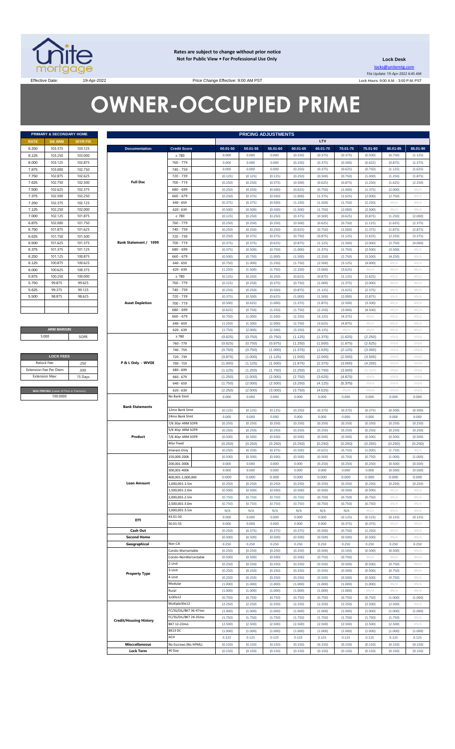

**Rates are subject to change without prior notice Not for Public View • For Professional Use Only** 

**Lock Desk** locks@unitemtg.com File Update: 19-Apr-2022 6:45 AM Lock Hours: 9:00 A.M. - 3:00 P.M. PST

Effective Date: 19-Apr-2022 19-Apr-2022 Price Change Effective: 9:00 AM PST

# **OWNER-OCCUPIED PRIME**

| PRIMARY & SECONDARY HOME |                |                 |  |  |  |  |  |  |
|--------------------------|----------------|-----------------|--|--|--|--|--|--|
| <b>RATE</b>              | <b>5/6 ARM</b> | <b>30YR FIX</b> |  |  |  |  |  |  |
| 8.250                    | 103.375        | 103.125         |  |  |  |  |  |  |
| 8.125                    | 103.250        | 103.000         |  |  |  |  |  |  |
| 8.000                    | 103.125        | 102.875         |  |  |  |  |  |  |
| 7.875                    | 103.000        | 102.750         |  |  |  |  |  |  |
| 7.750                    | 102.875        | 102.625         |  |  |  |  |  |  |
| 7.625                    | 102.750        | 102.500         |  |  |  |  |  |  |
| 7.500                    | 102.625        | 102.375         |  |  |  |  |  |  |
| 7.375                    | 102.500        | 102.250         |  |  |  |  |  |  |
| 7.250                    | 102.375        | 102.125         |  |  |  |  |  |  |
| 7.125                    | 102.250        | 102.000         |  |  |  |  |  |  |
| 7.000                    | 102.125        | 101.875         |  |  |  |  |  |  |
| 6.875                    | 102.000        | 101.750         |  |  |  |  |  |  |
| 6.750                    | 101.875        | 101.625         |  |  |  |  |  |  |
| 6.625                    | 101.750        | 101.500         |  |  |  |  |  |  |
| 6.500                    | 101.625        | 101.375         |  |  |  |  |  |  |
| 6.375                    | 101.375        | 101.125         |  |  |  |  |  |  |
| 6.250                    | 101.125        | 100.875         |  |  |  |  |  |  |
| 6.125                    | 100.875        | 100.625         |  |  |  |  |  |  |
| 6.000                    | 100.625        | 100.375         |  |  |  |  |  |  |
| 5.875                    | 100.250        | 100.000         |  |  |  |  |  |  |
| 5.750                    | 99.875         | 99.625          |  |  |  |  |  |  |
| 5.625                    | 99.375         | 99.125          |  |  |  |  |  |  |
| 5.500                    | 98.875         | 98.625          |  |  |  |  |  |  |
|                          |                |                 |  |  |  |  |  |  |
|                          |                |                 |  |  |  |  |  |  |

**ARM MARGIN** 5.000

| <b>LOCK FEES</b>                        |         |  |  |  |  |  |
|-----------------------------------------|---------|--|--|--|--|--|
| Relock Fee:                             | 250     |  |  |  |  |  |
| <b>Extension Fee Per Diem</b>           | .030    |  |  |  |  |  |
| <b>Extension Max:</b>                   | 15 Days |  |  |  |  |  |
|                                         |         |  |  |  |  |  |
| MAX PRICING (Lower of Price or Premium) |         |  |  |  |  |  |
| 100,0000                                |         |  |  |  |  |  |

|                       | PRIMARY & SECONDARY HOME                |          |                               |                       |          |          | <b>PRICING ADJUSTMENTS</b> |          |          |          |          |               |          |
|-----------------------|-----------------------------------------|----------|-------------------------------|-----------------------|----------|----------|----------------------------|----------|----------|----------|----------|---------------|----------|
| RATE                  | <b>5/6 ARM</b>                          | 30YR FIX |                               |                       |          |          |                            |          | LTV      |          |          |               |          |
| 8.250                 | 103.375                                 | 103.125  | <b>Documentation</b>          | <b>Credit Score</b>   | 00.01-50 | 50.01-55 | 55.01-60                   | 60.01-65 | 65.01-70 | 70.01-75 | 75.01-80 | 80.01-85      | 85.01-90 |
| 8.125                 | 103.250                                 | 103.000  |                               | $\geq 780$            | 0.000    | 0.000    | 0.000                      | (0.250)  | (0.375)  | (0.375)  | (0.500)  | (0.750)       | (1.125)  |
| 8.000                 | 103.125                                 | 102.875  |                               | 760 - 779             | 0.000    | 0.000    | 0.000                      | (0.250)  | (0.375)  | (0.500)  | (0.625)  | (0.875)       | (1.375)  |
| 7.875                 | 103.000                                 | 102.750  |                               | 740 - 759             | 0.000    | 0.000    | 0.000                      | (0.250)  | (0.375)  | (0.625)  | (0.750)  | (1.125)       | (1.625)  |
| 7.750                 | 102.875                                 | 102.625  |                               | 720 - 739             | (0.125)  | (0.125)  | (0.125)                    | (0.250)  | (0.500)  | (0.750)  | (1.000)  | (1.250)       | (1.875)  |
| 7.625                 | 102.750                                 | 102.500  | <b>Full Doc</b>               | 700 - 719             | (0.250)  | (0.250)  | (0.375)                    | (0.500)  | (0.625)  | (0.875)  | (1.250)  | (1.625)       | (2.250)  |
| 7.500                 | 102.625                                 | 102.375  |                               | 680 - 699             | (0.250)  | (0.250)  | (0.500)                    | (0.625)  | (0.750)  | (1.000)  | (1.375)  | (2.000)       | #N/ $/$  |
|                       |                                         |          |                               |                       |          |          |                            |          |          |          |          |               |          |
| 7.375                 | 102.500                                 | 102.250  |                               | $660 - 679$           | (0.250)  | (0.375)  | (0.500)                    | (1.000)  | (1.375)  | (1.625)  | (2.000)  | (2.750)       | #N/A     |
| 7.250                 | 102.375                                 | 102.125  |                               | $640 - 659$           | (0.375)  | (0.375)  | (0.500)                    | (1.250)  | (1.500)  | (1.750)  | (2.250)  | $\#N/A$       | #N/A     |
| 7.125                 | 102.250                                 | 102.000  |                               | $620 - 639$           | (0.500)  | (0.500)  | (0.500)                    | (1.500)  | (1.750)  | (2.000)  | (2.500)  | $\#N/A$       | #N/A     |
| 7.000                 | 102.125                                 | 101.875  |                               | $\geq 780$            | (0.125)  | (0.250)  | (0.250)                    | (0.375)  | (0.500)  | (0.625)  | (0.875)  | (1.250)       | (2.000)  |
| 6.875                 | 102.000                                 | 101.750  |                               | 760 - 779             | (0.250)  | (0.250)  | (0.250)                    | (0.500)  | (0.625)  | (0.750)  | (1.125)  | (1.625)       | (2.375)  |
| 6.750                 | 101.875                                 | 101.625  |                               | 740 - 759             | (0.250)  | (0.250)  | (0.250)                    | (0.625)  | (0.750)  | (1.000)  | (1.375)  | (1.875)       | (2.875)  |
| 6.625                 | 101.750                                 | 101.500  |                               | 720 - 739             | (0.250)  | (0.375)  | (0.375)                    | (0.750)  | (0.875)  | (1.125)  | (1.625)  | (2.250)       | (3.375)  |
| 6.500                 | 101.625                                 | 101.375  | Bank Statement / 1099         | 700 - 719             | (0.375)  | (0.375)  | (0.625)                    | (0.875)  | (1.125)  | (1.500)  | (2.000)  | (2.750)       | (4.000)  |
| 6.375                 | 101.375                                 | 101.125  |                               | 680 - 699             | (0.375)  | (0.500)  | (0.750)                    | (1.000)  | (1.375)  | (1.750)  | (2.500)  | (3.500)       | #N/ $/$  |
| 6.250                 | 101.125                                 | 100.875  |                               | $660 - 679$           | (0.500)  | (0.750)  | (1.000)                    | (1.500)  | (2.250)  | (2.750)  | (3.500)  | (4.250)       | #N/A     |
| 6.125                 | 100.875                                 | 100.625  |                               | $640 - 659$           | (0.750)  | (1.000)  | (1.250)                    | (1.750)  | (2.500)  | (3.125)  | (4.000)  | $\#N/\Lambda$ | #N/A     |
| 6.000                 | 100.625                                 | 100.375  |                               | $620 - 639$           | (1.250)  | (1.500)  | (1.750)                    | (2.250)  | (3.000)  | (3.625)  | #N/A     | $\#N/A$       | #N/A     |
| 5.875                 | 100.250                                 | 100.000  |                               | $\geq 780$            | (0.125)  | (0.250)  | (0.250)                    | (0.625)  | (0.875)  | (1.125)  | (1.625)  | #N/A          | #N/A     |
| 5.750                 | 99.875                                  | 99.625   |                               | 760 - 779             | (0.125)  | (0.250)  | (0.375)                    | (0.750)  | (1.000)  | (1.375)  | (2.000)  | $\#N/A$       | #N/A     |
| 5.625                 | 99.375                                  | 99.125   |                               | 740 - 759             | (0.250)  | (0.250)  | (0.500)                    | (0.875)  | (1.125)  | (1.625)  | (2.375)  | $\#N/A$       | #N/A     |
| 5.500                 | 98.875                                  | 98.625   |                               | 720 - 739             | (0.375)  | (0.500)  | (0.625)                    | (1.000)  | (1.500)  | (2.000)  | (2.875)  | $\#N/A$       | #N/A     |
|                       |                                         |          | <b>Asset Depletion</b>        | 700 - 719             | (0.500)  | (0.625)  | (1.000)                    | (1.375)  | (1.875)  | (2.500)  | (3.500)  | $\#N/A$       | #N/A     |
|                       |                                         |          |                               | 680 - 699             | (0.625)  | (0.750)  | (1.250)                    | (1.750)  | (2.250)  | (3.000)  | (4.500)  | $\#N/A$       | #N/A     |
|                       |                                         |          |                               | $660 - 679$           |          |          |                            |          |          |          |          |               |          |
|                       |                                         |          |                               |                       | (0.750)  | (1.000)  | (1.500)                    | (2.250)  | (3.125)  | (4.375)  | #N/A     | $\#N/A$       | #N/A     |
|                       |                                         |          |                               | $640 - 659$           | (1.250)  | (1.500)  | (2.000)                    | (2.750)  | (3.625)  | (4.875)  | #N/A     | $\#N/A$       | #N/A     |
|                       | <b>ARM MARGIN</b>                       |          |                               | $620 - 639$           | (1.750)  | (2.000)  | (2.500)                    | (3.250)  | (4.125)  | #N/A     | #N/ $/$  | $\#N/A$       | #N/A     |
|                       | 5.000                                   | SOFR     |                               | $\geq 780$            | (0.625)  | (0.750)  | (0.750)                    | (1.125)  | (1.375)  | (1.625)  | (2.250)  | #N/A          | #N/A     |
|                       |                                         |          |                               | 760 - 779             | (0.625)  | (0.750)  | (0.875)                    | (1.250)  | (1.500)  | (1.875)  | (2.625)  | #N/A          | #N/A     |
|                       |                                         |          |                               | 740 - 759             | (0.750)  | (0.750)  | (1.000)                    | (1.375)  | (1.625)  | (2.125)  | (3.000)  | #N/A          | #N/A     |
|                       | <b>LOCK FEES</b>                        |          |                               | 720 - 739             | (0.875)  | (1.000)  | (1.125)                    | (1.500)  | (2.000)  | (2.500)  | (3.500)  | #N/A          | #N/A     |
| Relock Fee:           |                                         | .250     | P & L Only - WVOE             | 700 - 719             | (1.000)  | (1.125)  | (1.500)                    | (1.875)  | (2.375)  | (3.000)  | (4.250)  | #N/A          | #N/A     |
|                       | xtension Fee Per Diem                   | .030     |                               | 680 - 699             | (1.125)  | (1.250)  | (1.750)                    | (2.250)  | (2.750)  | (3.500)  | (5.000)  | #N/A          | #N/A     |
| <b>Extension Max:</b> |                                         | 15 Days  |                               | 660 - 679             | (1.250)  | (1.500)  | (2.000)                    | (2.750)  | (3.625)  | (4.875)  | $\#N/A$  | #N/A          | #N/A     |
|                       |                                         |          |                               | $640 - 659$           | (1.750)  | (2.000)  | (2.500)                    | (3.250)  | (4.125)  | (5.375)  | $\#N/A$  | #N/A          | #N/A     |
|                       | MAX PRICING (Lower of Price or Premium) |          |                               | $620 - 639$           | (2.250)  | (2.500)  | (3.000)                    | (3.750)  | (4.625)  | #N/A     | $\#N/A$  | #N/A          | #N/A     |
|                       | 100.0000                                |          |                               | No Bank Stmt          | 0.000    | 0.000    | 0.000                      | 0.000    | 0.000    | 0.000    | 0.000    | 0.000         | 0.000    |
|                       |                                         |          |                               |                       |          |          |                            |          |          |          |          |               |          |
|                       |                                         |          | <b>Bank Statements</b>        | 12mo Bank Stmt        | (0.125)  | (0.125)  | (0.125)                    | (0.250)  | (0.375)  | (0.375)  | (0.375)  | (0.500)       | (0.500)  |
|                       |                                         |          |                               | 24mo Bank Stmt        | 0.000    | 0.000    | 0.000                      | 0.000    | 0.000    | 0.000    | 0.000    | 0.000         | 0.000    |
|                       |                                         |          |                               | 7/6 30yr ARM SOFR     | (0.250)  | (0.250)  | (0.250)                    | (0.250)  | (0.250)  | (0.250)  | (0.250)  | (0.250)       | (0.250)  |
|                       |                                         |          |                               | 5/6 40yr ARM SOFR     | (0.250)  | (0.250)  | (0.250)                    | (0.250)  | (0.250)  | (0.250)  | (0.250)  | (0.250)       | (0.250)  |
|                       |                                         |          | Product                       | 7/6 40yr ARM SOFR     | (0.500)  | (0.500)  | (0.500)                    | (0.500)  | (0.500)  | (0.500)  | (0.500)  | (0.500)       | (0.500)  |
|                       |                                         |          |                               | 40yr Fixed            | (0.250)  | (0.250)  | (0.250)                    | (0.250)  | (0.250)  | (0.250)  | (0.250)  | (0.250)       | (0.250)  |
|                       |                                         |          |                               | Interest-Only         | (0.250)  | (0.250)  | (0.375)                    | (0.500)  | (0.625)  | (0.750)  | (1.000)  | (1.750)       | #N/A     |
|                       |                                         |          |                               | 150,000-200k          | (0.500)  | (0.500)  | (0.500)                    | (0.500)  | (0.500)  | (0.750)  | (0.750)  | (1.000)       | (1.000)  |
|                       |                                         |          |                               | 200,001-300k          | 0.000    | 0.000    | 0.000                      | 0.000    | (0.250)  | (0.250)  | (0.250)  | (0.500)       | (0.500)  |
|                       |                                         |          |                               | 300,001-400k          | 0.000    | 0.000    | 0.000                      | 0.000    | 0.000    | 0.000    | 0.000    | (0.500)       | (0.500)  |
|                       |                                         |          |                               | 400,001-1,000,000     | 0.000    | 0.000    | 0.000                      | 0.000    | 0.000    | 0.000    | 0.000    | 0.000         | 0.000    |
|                       |                                         |          | <b>Loan Amount</b>            | 1,000,001-1.5m        | (0.250)  | (0.250)  | (0.250)                    | (0.250)  | (0.250)  | (0.250)  | (0.250)  | (0.250)       | (0.250)  |
|                       |                                         |          |                               | 1,500,001-2.0m        | (0.500)  | (0.500)  | (0.500)                    | (0.500)  | (0.500)  | (0.500)  | (0.500)  | $\#N/A$       | #N/A     |
|                       |                                         |          |                               | 2,000,001-2.5m        | (0.750)  | (0.750)  | (0.750)                    | (0.750)  | (0.750)  | (0.750)  | (0.750)  | $\#N/A$       | #N/A     |
|                       |                                         |          |                               | 2,500,001-3.0m        | (0.750)  | (0.750)  | (0.750)                    | (0.750)  | (0.750)  | (0.750)  | (0.750)  | #N/A          | #N/A     |
|                       |                                         |          |                               | 3,000,001-3.5m        | N/A      | N/A      | N/A                        | N/A      | N/A      | N/A      | #N/A     | $\#N/A$       | #N/ $/$  |
|                       |                                         |          |                               | 43.01-50              |          |          |                            |          |          |          |          |               |          |
|                       |                                         |          | DTI                           | 50.01-55              | 0.000    | 0.000    | 0.000                      | 0.000    | 0.000    | (0.125)  | (0.125)  | (0.125)       | (0.125)  |
|                       |                                         |          |                               |                       | 0.000    | 0.000    | 0.000                      | 0.000    | 0.000    | (0.375)  | (0.375)  | #N/A          | #N/ $/$  |
|                       |                                         |          | Cash Out                      |                       | (0.250)  | (0.375)  | (0.375)                    | (0.375)  | (0.500)  | (0.750)  | (1.250)  | $\#N/A$       | #N/A     |
|                       |                                         |          | <b>Second Home</b>            |                       | (0.500)  | (0.500)  | (0.500)                    | (0.500)  | (0.500)  | (0.500)  | (0.500)  | $\#N/A$       | #N/A     |
|                       |                                         |          | Geographical                  | Non-CA                | 0.250    | 0.250    | 0.250                      | 0.250    | 0.250    | 0.250    | 0.250    | 0.250         | 0.250    |
|                       |                                         |          |                               | Condo-Warrantable     | (0.250)  | (0.250)  | (0.250)                    | (0.250)  | (0.500)  | (0.500)  | (0.500)  | (0.500)       | #N/A     |
|                       |                                         |          |                               | Condo-NonWarrantable  | (0.500)  | (0.500)  | (0.500)                    | (0.500)  | (0.750)  | (0.750)  | #N/A     | #N/A          | #N/A     |
|                       |                                         |          |                               | 2-Unit                | (0.250)  | (0.250)  | (0.250)                    | (0.250)  | (0.500)  | (0.500)  | (0.500)  | (0.750)       | #N/A     |
|                       |                                         |          | <b>Property Type</b>          | 3-Unit                | (0.250)  | (0.250)  | (0.250)                    | (0.250)  | (0.500)  | (0.500)  | (0.500)  | (0.750)       | #N/A     |
|                       |                                         |          |                               | 4-Unit                | (0.250)  | (0.250)  | (0.250)                    | (0.250)  | (0.500)  | (0.500)  | (0.500)  | (0.750)       | #N/A     |
|                       |                                         |          |                               | Modular               | (1.000)  | (1.000)  | (1.000)                    | (1.000)  | (1.000)  | (1.000)  | (1.000)  | #N/A          | #N/ $/$  |
|                       |                                         |          |                               | Rural                 | (1.000)  | (1.000)  | (1.000)                    | (1.000)  | (1.000)  | (1.000)  | #N//     | $\#N/A$       | #N/ $/$  |
|                       |                                         |          |                               | 1x30x12               | (0.750)  | (0.750)  | (0.750)                    | (0.750)  | (0.750)  | (0.750)  | (0.750)  | (1.000)       | (1.000)  |
|                       |                                         |          |                               | Multiple30x12         | (2.250)  | (2.250)  | (2.250)                    | (2.250)  | (2.250)  | (2.250)  | (2.500)  | (2.500)       | #N//     |
|                       |                                         |          |                               | FC/SS/DIL/BK7 36-47mo | (1.000)  | (1.000)  | (1.000)                    | (1.000)  | (1.000)  | (1.000)  | (1.000)  | (1.000)       | (1.000)  |
|                       |                                         |          |                               | FC/SS/DIL/BK7 24-35mo | (1.750)  | (1.750)  | (1.750)                    | (1.750)  | (1.750)  | (1.750)  | (1.750)  | (1.750)       | #N/ $/$  |
|                       |                                         |          | <b>Credit/Housing History</b> | BK7 12-23mo           | (2.500)  | (2.500)  | (2.500)                    | (2.500)  | (2.500)  | (2.500)  | (2.500)  | (2.500)       | #N/A     |
|                       |                                         |          |                               | BK13 DC               | (1.000)  | (1.000)  | (1.000)                    | (1.000)  | (1.000)  | (1.000)  | (1.000)  | (1.000)       | (1.000)  |
|                       |                                         |          |                               | ACH                   | 0.125    | 0.125    | 0.125                      | 0.125    | 0.125    | 0.125    | 0.125    | 0.125         | 0.125    |
|                       |                                         |          | <b>Misccellaneous</b>         | No Escrows (No HPML)  | (0.150)  | (0.150)  | (0.150)                    | (0.150)  | (0.150)  | (0.150)  | (0.150)  | (0.150)       | (0.150)  |
|                       |                                         |          | <b>Lock Term</b>              | 40 Day                | (0.150)  | (0.150)  | (0.150)                    | (0.150)  | (0.150)  | (0.150)  | (0.150)  | (0.150)       | (0.150)  |
|                       |                                         |          |                               |                       |          |          |                            |          |          |          |          |               |          |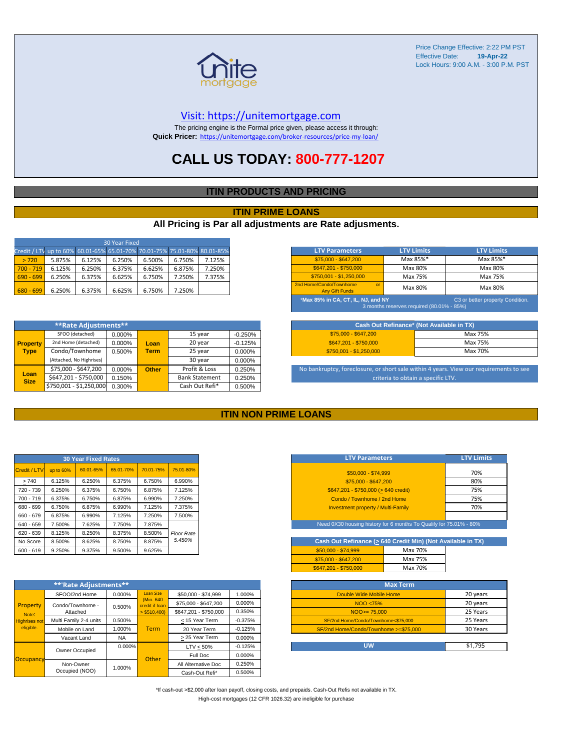

#### [V](https://unitemortgage.com/)isit: https://unitemortgage.com

The pricing engine is the Formal price given, please access it through: **Quick Pricer:** [https://un](https://unitemortgage.com/broker-resources/price-my-loan/)itemortgage.com/broker-resources/price-my-loan/

### **CALL US TODAY: 800-777-1207**

#### **ITIN PRODUCTS AND PRICING**

#### **ITIN PRIME LOANS**

#### **All Pricing is Par all adjustments are Rate adjusments.**

| 30 Year Fixed                                                            |        |        |        |        |        |        |  |  |  |  |
|--------------------------------------------------------------------------|--------|--------|--------|--------|--------|--------|--|--|--|--|
| Credit / LTV up to 60% 60.01-65% 65.01-70% 70.01-75% 75.01-80% 80.01-85% |        |        |        |        |        |        |  |  |  |  |
| > 720                                                                    | 5.875% | 6.125% | 6.250% | 6.500% | 6.750% | 7.125% |  |  |  |  |
| $700 - 719$                                                              | 6.125% | 6.250% | 6.375% | 6.625% | 6.875% | 7.250% |  |  |  |  |
| $690 - 699$                                                              | 6.250% | 6.375% | 6.625% | 6.750% | 7.250% | 7.375% |  |  |  |  |
| $680 - 699$                                                              | 6.250% | 6.375% | 6.625% | 6.750% | 7.250% |        |  |  |  |  |

|                     | **Rate Adjustments**     |        |              |                       |           |
|---------------------|--------------------------|--------|--------------|-----------------------|-----------|
|                     | SFOO (detached)          | 0.000% |              | 15 year               | $-0.250%$ |
| <b>Property</b>     | 2nd Home (detached)      | 0.000% | Loan         | 20 year               | $-0.125%$ |
| <b>Type</b>         | Condo/Townhome           | 0.500% | <b>Term</b>  | 25 year               | 0.000%    |
|                     | (Attached, No Highrises) |        |              | 30 year               | 0.000%    |
|                     | \$75,000 - \$647,200     | 0.000% | <b>Other</b> | Profit & Loss         | 0.250%    |
| Loan<br><b>Size</b> | \$647,201 - \$750,000    | 0.150% |              | <b>Bank Statement</b> | 0.250%    |
|                     | \$750,001 - \$1,250,000  | 0.300% |              | Cash Out Refi*        | 0.500%    |

| <b>LTV Parameters</b>                                        | <b>LTV Limits</b>                                                                                                   | <b>LTV Limits</b> |  |  |  |  |  |  |
|--------------------------------------------------------------|---------------------------------------------------------------------------------------------------------------------|-------------------|--|--|--|--|--|--|
| $$75,000 - $647,200$                                         | Max 85%*                                                                                                            | Max 85%*          |  |  |  |  |  |  |
| \$647.201 - \$750.000                                        | Max 80%                                                                                                             | Max 80%           |  |  |  |  |  |  |
| $$750,001 - $1,250,000$                                      | Max 75%                                                                                                             | Max 75%           |  |  |  |  |  |  |
| 2nd Home/Condo/Townhome<br>$\alpha$<br><b>Any Gift Funds</b> | Max 80%                                                                                                             | Max 80%           |  |  |  |  |  |  |
|                                                              | *Max 85% in CA, CT, IL, NJ, and NY<br>C3 or better property Condition.<br>3 months reserves required (80.01% - 85%) |                   |  |  |  |  |  |  |

| Cash Out Refinance* (Not Available in TX) |         |  |  |  |  |
|-------------------------------------------|---------|--|--|--|--|
| $$75.000 - $647.200$                      | Max 75% |  |  |  |  |
| \$647.201 - \$750.000                     | Max 75% |  |  |  |  |
| $$750.001 - $1.250.000$                   | Max 70% |  |  |  |  |

No bankruptcy, foreclosure, or short sale within 4 years. View our requirements to see criteria to obtain a specific LTV.

#### **ITIN NON PRIME LOANS**

| <b>30 Year Fixed Rates</b> |           |           |           |           |                   |  |  |  |  |
|----------------------------|-----------|-----------|-----------|-----------|-------------------|--|--|--|--|
| Credit / LTV               | up to 60% | 60.01-65% | 65.01-70% | 70.01-75% | 75.01-80%         |  |  |  |  |
| >740                       | 6.125%    | 6.250%    | 6.375%    | 6.750%    | 6.990%            |  |  |  |  |
| 720 - 739                  | 6.250%    | 6.375%    | 6.750%    | 6.875%    | 7.125%            |  |  |  |  |
| $700 - 719$                | 6.375%    | 6.750%    | 6.875%    | 6.990%    | 7.250%            |  |  |  |  |
| 680 - 699                  | 6.750%    | 6.875%    | 6.990%    | 7.125%    | 7.375%            |  |  |  |  |
| 660 - 679                  | 6.875%    | 6.990%    | 7.125%    | 7.250%    | 7.500%            |  |  |  |  |
| 640 - 659                  | 7.500%    | 7.625%    | 7.750%    | 7.875%    |                   |  |  |  |  |
| 620 - 639                  | 8.125%    | 8.250%    | 8.375%    | 8.500%    | <b>Floor Rate</b> |  |  |  |  |
| No Score                   | 8.500%    | 8.625%    | 8.750%    | 8.875%    | 5.450%            |  |  |  |  |
| $600 - 619$                | 9.250%    | 9.375%    | 9.500%    | 9.625%    |                   |  |  |  |  |

|                      | **'Rate Adjustments**  |           |                              |                       |           |
|----------------------|------------------------|-----------|------------------------------|-----------------------|-----------|
|                      | SFOO/2nd Home          | 0.000%    | <b>Loan Size</b>             | \$50,000 - \$74,999   | 1.000%    |
| Property             | Condo/Townhome -       | 0.500%    | (Min. 640)<br>credit if Ioan | \$75,000 - \$647,200  | 0.000%    |
| Note:                | Attached               |           | $>$ \$510,400)               | \$647.201 - \$750.000 | 0.350%    |
| <b>Highrises not</b> | Multi Family 2-4 units | 0.500%    |                              | < 15 Year Term        | $-0.375%$ |
| eligible.            | Mobile on Land         | 1.000%    | <b>Term</b>                  | 20 Year Term          | $-0.125%$ |
|                      | Vacant Land            | <b>NA</b> |                              | > 25 Year Term        | 0.000%    |
|                      | Owner Occupied         | $0.000\%$ |                              | $LTV < 50\%$          | $-0.125%$ |
| Occupancy            |                        |           | Other                        | Full Doc              | 0.000%    |
|                      | Non-Owner              | 1.000%    |                              | All Alternative Doc   | 0.250%    |
|                      | Occupied (NOO)         |           |                              | Cash-Out Refi*        | 0.500%    |

| <b>LTV Parameters</b>                        | <b>LTV Limits</b> |
|----------------------------------------------|-------------------|
| \$50,000 - \$74,999                          | 70%               |
| \$75,000 - \$647,200                         | 80%               |
| $$647,201 - $750,000 (> 640 \text{ credit})$ | 75%               |
| Condo / Townhome / 2nd Home                  | 75%               |
| <b>Investment property / Multi-Family</b>    | 70%               |
|                                              |                   |

Need 0X30 housing history for 6 months To Qualify for 75.01% - 80%

| Cash Out Refinance (> 640 Credit Min) (Not Available in TX) |         |  |  |  |  |  |  |  |  |  |
|-------------------------------------------------------------|---------|--|--|--|--|--|--|--|--|--|
| $$50.000 - $74.999$                                         | Max 70% |  |  |  |  |  |  |  |  |  |
| \$75,000 - \$647,200                                        | Max 75% |  |  |  |  |  |  |  |  |  |
| \$647.201 - \$750.000                                       | Max 70% |  |  |  |  |  |  |  |  |  |

| <b>Max Term</b>                       |          |
|---------------------------------------|----------|
| Double Wide Mobile Home               | 20 years |
| NOO <75%                              | 20 years |
| $NOO > = 75.000$                      | 25 Years |
| SF/2nd Home/Condo/Townhome<\$75,000   | 25 Years |
| SF/2nd Home/Condo/Townhome >=\$75,000 | 30 Years |
|                                       |          |
| บพ                                    | \$1.795  |

\*If cash-out >\$2,000 after loan payoff, closing costs, and prepaids. Cash-Out Refis not available in TX. High-cost mortgages (12 CFR 1026.32) are ineligible for purchase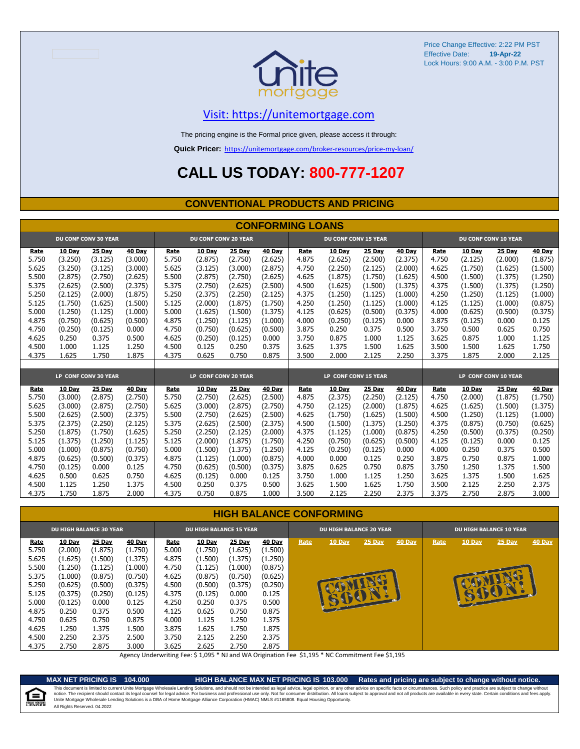

### [V](https://unitemortgage.com/)isit: https://unitemortgage.com

The pricing engine is the Formal price given, please access it through:

**Quick Pricer:** [https://un](https://unitemortgage.com/broker-resources/price-my-loan/)itemortgage.com/broker-resources/price-my-loan/

## **CALL US TODAY: 800-777-1207**

#### **CONVENTIONAL PRODUCTS AND PRICING**

|       | <b>CONFORMING LOANS</b> |                             |         |                             |         |         |         |                             |                      |         |               |                             |               |         |               |
|-------|-------------------------|-----------------------------|---------|-----------------------------|---------|---------|---------|-----------------------------|----------------------|---------|---------------|-----------------------------|---------------|---------|---------------|
|       |                         | <b>DU CONF CONV 30 YEAR</b> |         | <b>DU CONF CONV 20 YEAR</b> |         |         |         | <b>DU CONF CONV 15 YEAR</b> |                      |         |               | <b>DU CONF CONV 10 YEAR</b> |               |         |               |
| Rate  | 10 Day                  | 25 Day                      | 40 Day  | Rate                        | 10 Day  | 25 Day  | 40 Day  | Rate                        | 10 Day               | 25 Day  | 40 Day        | Rate                        | <b>10 Day</b> | 25 Day  | 40 Day        |
| 5.750 | (3.250)                 | (3.125)                     | (3.000) | 5.750                       | (2.875) | (2.750) | (2.625) | 4.875                       | (2.625)              | (2.500) | (2.375)       | 4.750                       | (2.125)       | (2.000) | (1.875)       |
| 5.625 | (3.250)                 | (3.125)                     | (3.000) | 5.625                       | (3.125) | (3.000) | (2.875) | 4.750                       | (2.250)              | (2.125) | (2.000)       | 4.625                       | (1.750)       | (1.625) | (1.500)       |
| 5.500 | (2.875)                 | (2.750)                     | (2.625) | 5.500                       | (2.875) | (2.750) | (2.625) | 4.625                       | (1.875)              | (1.750) | (1.625)       | 4.500                       | (1.500)       | (1.375) | (1.250)       |
| 5.375 | (2.625)                 | (2.500)                     | (2.375) | 5.375                       | (2.750) | (2.625) | (2.500) | 4.500                       | (1.625)              | (1.500) | (1.375)       | 4.375                       | (1.500)       | (1.375) | (1.250)       |
| 5.250 | (2.125)                 | (2.000)                     | (1.875) | 5.250                       | (2.375) | (2.250) | (2.125) | 4.375                       | (1.250)              | (1.125) | (1.000)       | 4.250                       | (1.250)       | (1.125) | (1.000)       |
| 5.125 | (1.750)                 | (1.625)                     | (1.500) | 5.125                       | (2.000) | (1.875) | (1.750) | 4.250                       | (1.250)              | (1.125) | (1.000)       | 4.125                       | (1.125)       | (1.000) | (0.875)       |
| 5.000 | (1.250)                 | (1.125)                     | (1.000) | 5.000                       | (1.625) | (1.500) | (1.375) | 4.125                       | (0.625)              | (0.500) | (0.375)       | 4.000                       | (0.625)       | (0.500) | (0.375)       |
| 4.875 | (0.750)                 | (0.625)                     | (0.500) | 4.875                       | (1.250) | (1.125) | (1.000) | 4.000                       | (0.250)              | (0.125) | 0.000         | 3.875                       | (0.125)       | 0.000   | 0.125         |
| 4.750 | (0.250)                 | (0.125)                     | 0.000   | 4.750                       | (0.750) | (0.625) | (0.500) | 3.875                       | 0.250                | 0.375   | 0.500         | 3.750                       | 0.500         | 0.625   | 0.750         |
| 4.625 | 0.250                   | 0.375                       | 0.500   | 4.625                       | (0.250) | (0.125) | 0.000   | 3.750                       | 0.875                | 1.000   | 1.125         | 3.625                       | 0.875         | 1.000   | 1.125         |
| 4.500 | 1.000                   | 1.125                       | 1.250   | 4.500                       | 0.125   | 0.250   | 0.375   | 3.625                       | 1.375                | 1.500   | 1.625         | 3.500                       | 1.500         | 1.625   | 1.750         |
| 4.375 | 1.625                   | 1.750                       | 1.875   | 4.375                       | 0.625   | 0.750   | 0.875   | 3.500                       | 2.000                | 2.125   | 2.250         | 3.375                       | 1.875         | 2.000   | 2.125         |
|       |                         |                             |         |                             |         |         |         |                             |                      |         |               |                             |               |         |               |
|       |                         | LP CONF CONV 30 YEAR        |         | LP CONF CONV 20 YEAR        |         |         |         |                             | LP CONF CONV 15 YEAR |         |               | LP CONF CONV 10 YEAR        |               |         |               |
| Rate  | 10 Day                  | 25 Day                      | 40 Day  | Rate                        | 10 Day  | 25 Day  | 40 Day  | Rate                        | 10 Dav               | 25 Day  | <b>40 Day</b> | Rate                        | 10 Day        | 25 Day  | <b>40 Day</b> |
| 5.750 | (3.000)                 | (2.875)                     | (2.750) | 5.750                       | (2.750) | (2.625) | (2.500) | 4.875                       | (2.375)              | (2.250) | (2.125)       | 4.750                       | (2.000)       | (1.875) | (1.750)       |
| 5.625 | (3.000)                 | (2.875)                     | (2.750) | 5.625                       | (3.000) | (2.875) | (2.750) | 4.750                       | (2.125)              | (2.000) | (1.875)       | 4.625                       | (1.625)       | (1.500) | (1.375)       |
| 5.500 | (2.625)                 | (2.500)                     | (2.375) | 5.500                       | (2.750) | (2.625) | (2.500) | 4.625                       | (1.750)              | (1.625) | (1.500)       | 4.500                       | (1.250)       | (1.125) | (1.000)       |
| 5.375 | (2.375)                 | (2.250)                     | (2.125) | 5.375                       | (2.625) | (2.500) | (2.375) | 4.500                       | (1.500)              | (1.375) | (1.250)       | 4.375                       | (0.875)       | (0.750) | (0.625)       |
| 5.250 | (1.875)                 | (1.750)                     | (1.625) | 5.250                       | (2.250) | (2.125) | (2.000) | 4.375                       | (1.125)              | (1.000) | (0.875)       | 4.250                       | (0.500)       | (0.375) | (0.250)       |
| 5.125 | (1.375)                 | (1.250)                     | (1.125) | 5.125                       | (2.000) | (1.875) | (1.750) | 4.250                       | (0.750)              | (0.625) | (0.500)       | 4.125                       | (0.125)       | 0.000   | 0.125         |
| 5.000 | (1.000)                 | (0.875)                     | (0.750) | 5.000                       | (1.500) | (1.375) | (1.250) | 4.125                       | (0.250)              | (0.125) | 0.000         | 4.000                       | 0.250         | 0.375   | 0.500         |
| 4.875 | (0.625)                 | (0.500)                     | (0.375) | 4.875                       | (1.125) | (1.000) | (0.875) | 4.000                       | 0.000                | 0.125   | 0.250         | 3.875                       | 0.750         | 0.875   | 1.000         |
| 4.750 | (0.125)                 | 0.000                       | 0.125   | 4.750                       | (0.625) | (0.500) | (0.375) | 3.875                       | 0.625                | 0.750   | 0.875         | 3.750                       | 1.250         | 1.375   | 1.500         |
| 4.625 | 0.500                   | 0.625                       | 0.750   | 4.625                       | (0.125) | 0.000   | 0.125   | 3.750                       | 1.000                | 1.125   | 1.250         | 3.625                       | 1.375         | 1.500   | 1.625         |
| 4.500 | 1.125                   | 1.250                       | 1.375   | 4.500                       | 0.250   | 0.375   | 0.500   | 3.625                       | 1.500                | 1.625   | 1.750         | 3.500                       | 2.125         | 2.250   | 2.375         |
| 4.375 | 1.750                   | 1.875                       | 2.000   | 4.375                       | 0.750   | 0.875   | 1.000   | 3.500                       | 2.125                | 2.250   | 2.375         | 3.375                       | 2.750         | 2.875   | 3.000         |

#### **HIGH BALANCE CONFORMING**

| <b>DU HIGH BALANCE 30 YEAR</b><br><b>DU HIGH BALANCE 15 YEAR</b><br><b>DU HIGH BALANCE 20 YEAR</b>                                                                                                                                                                                                                                                                                                                                                                                                                                                                                                                                                                                                                                                                                                                                                                                                                                                                                                                                                                                                          |                                                                  | <b>DU HIGH BALANCE 10 YEAR</b> |  |  |  |  |
|-------------------------------------------------------------------------------------------------------------------------------------------------------------------------------------------------------------------------------------------------------------------------------------------------------------------------------------------------------------------------------------------------------------------------------------------------------------------------------------------------------------------------------------------------------------------------------------------------------------------------------------------------------------------------------------------------------------------------------------------------------------------------------------------------------------------------------------------------------------------------------------------------------------------------------------------------------------------------------------------------------------------------------------------------------------------------------------------------------------|------------------------------------------------------------------|--------------------------------|--|--|--|--|
| 25 Day<br>25 Day<br><b>40 Day</b><br>10 Day<br>25 Day<br>10 Day<br>40 Day<br><b>10 Day</b><br>Rate<br><b>Rate</b><br>Rate<br>5.750<br>(1.500)<br>(2.000)<br>(1.750)<br>5.000<br>(1.875)<br>(1.750)<br>(1.625)<br>5.625<br>(1.625)<br>(1.500)<br>(1.250)<br>(1.500)<br>(1.375)<br>4.875<br>(1.375)<br>5.500<br>4.750<br>(1.250)<br>(1.000)<br>(0.875)<br>(1.125)<br>(1.000)<br>(1.125)<br>5.375<br>4.625<br>(0.625)<br>(1.000)<br>(0.875)<br>(0.750)<br>(0.875)<br>(0.750)<br>5.250<br>(0.625)<br>4.500<br>(0.250)<br>(0.500)<br>(0.500)<br>(0.375)<br>(0.375)<br>4.375<br>5.125<br>(0.375)<br>(0.125)<br>(0.125)<br>0.000<br>0.125<br>(0.250)<br>A LOUDER<br>5.000<br>4.250<br>0.375<br>(0.125)<br>0.125<br>0.250<br>0.500<br>0.000<br>4.875<br>4.125<br>0.250<br>0.375<br>0.500<br>0.625<br>0.750<br>0.875<br>0.625<br>0.875<br>4.000<br>1.125<br>1.250<br>1.375<br>4.750<br>0.750<br>4.625<br>1.375<br>1.500<br>3.875<br>1.625<br>1.875<br>1.250<br>1.750<br>4.500<br>2.250<br>2.500<br>2.125<br>2.250<br>2.375<br>2.375<br>3.750<br>4.375<br>3.000<br>3.625<br>2.625<br>2.750<br>2.875<br>2.750<br>2.875 | <b>40 Day</b><br>10 Day<br>25 Day<br><b>40 Day</b><br>Rate<br>中国 |                                |  |  |  |  |

Agency Underwriting Fee: \$ 1,095 \* NJ and WA Origination Fee \$1,195 \* NC Commitment Fee \$1,195

e

**MAX NET PRICING IS 104.000 HIGH BALANCE MAX NET PRICING IS 103.000 Rates and pricing are subject to change without notice.** All Rights Reserved. 04.2022 This document is limited to current Unite Mortgage Wholesale Lending Solutions, and should not be intended as legal advice, legal opinion, or any other advice on specific facts or circumstances. Such policy and practice ar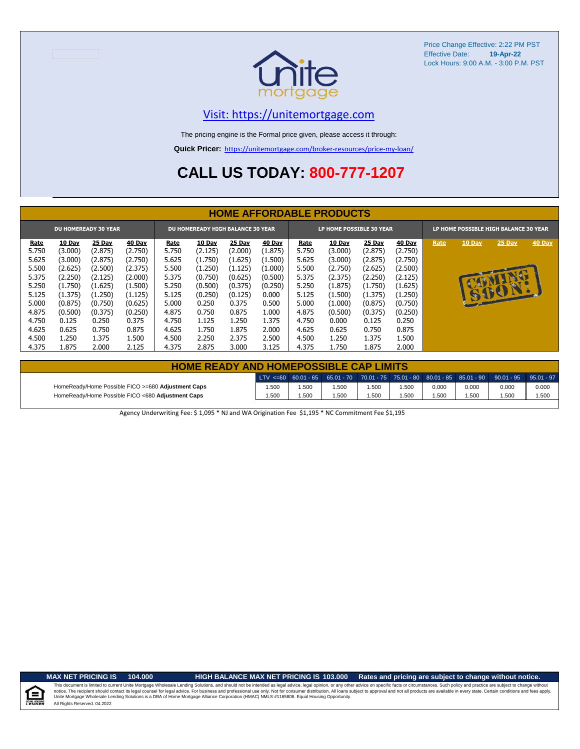

### [V](https://unitemortgage.com/)isit: https://unitemortgage.com

The pricing engine is the Formal price given, please access it through:

**Quick Pricer:** [https://un](https://unitemortgage.com/broker-resources/price-my-loan/)itemortgage.com/broker-resources/price-my-loan/

## **CALL US TODAY: 800-777-1207**

|       | <b>HOME AFFORDABLE PRODUCTS</b> |                             |         |       |                                          |               |               |       |                          |               |               |                                       |        |        |               |
|-------|---------------------------------|-----------------------------|---------|-------|------------------------------------------|---------------|---------------|-------|--------------------------|---------------|---------------|---------------------------------------|--------|--------|---------------|
|       |                                 | <b>DU HOMEREADY 30 YEAR</b> |         |       | <b>DU HOMEREADY HIGH BALANCE 30 YEAR</b> |               |               |       | LP HOME POSSIBLE 30 YEAR |               |               | LP HOME POSSIBLE HIGH BALANCE 30 YEAR |        |        |               |
| Rate  | <b>10 Day</b>                   | <b>25 Day</b>               | 40 Day  | Rate  | <b>10 Day</b>                            | <b>25 Day</b> | <b>40 Day</b> | Rate  | 10 Day                   | <b>25 Day</b> | <b>40 Day</b> | Rate                                  | 10 Day | 25 Day | <b>40 Day</b> |
| 5.750 | (3.000)                         | (2.875)                     | (2.750) | 5.750 | (2.125)                                  | (2.000)       | (1.875)       | 5.750 | (3.000)                  | (2.875)       | (2.750)       |                                       |        |        |               |
| 5.625 | (3.000)                         | (2.875)                     | (2.750) | 5.625 | (1.750)                                  | (1.625)       | (1.500)       | 5.625 | (3.000)                  | (2.875)       | (2.750)       |                                       |        |        |               |
| 5.500 | (2.625)                         | (2.500)                     | (2.375) | 5.500 | (1.250)                                  | (1.125)       | (1.000)       | 5.500 | (2.750)                  | (2.625)       | (2.500)       |                                       |        |        |               |
| 5.375 | (2.250)                         | (2.125)                     | (2.000) | 5.375 | (0.750)                                  | (0.625)       | (0.500)       | 5.375 | (2.375)                  | (2.250)       | (2.125)       |                                       |        |        |               |
| 5.250 | (1.750)                         | (1.625)                     | (1.500) | 5.250 | (0.500)                                  | (0.375)       | (0.250)       | 5.250 | (1.875)                  | (1.750)       | (1.625)       |                                       |        |        |               |
| 5.125 | (1.375)                         | (1.250)                     | (1.125) | 5.125 | (0.250)                                  | (0.125)       | 0.000         | 5.125 | (1.500)                  | (1.375)       | (1.250)       |                                       |        | GIFCIN |               |
| 5.000 | (0.875)                         | (0.750)                     | (0.625) | 5.000 | 0.250                                    | 0.375         | 0.500         | 5.000 | (1.000)                  | (0.875)       | (0.750)       |                                       |        |        |               |
| 4.875 | (0.500)                         | (0.375)                     | (0.250) | 4.875 | 0.750                                    | 0.875         | 1.000         | 4.875 | (0.500)                  | (0.375)       | (0.250)       |                                       |        |        |               |
| 4.750 | 0.125                           | 0.250                       | 0.375   | 4.750 | 1.125                                    | 1.250         | 1.375         | 4.750 | 0.000                    | 0.125         | 0.250         |                                       |        |        |               |
| 4.625 | 0.625                           | 0.750                       | 0.875   | 4.625 | 1.750                                    | 1.875         | 2.000         | 4.625 | 0.625                    | 0.750         | 0.875         |                                       |        |        |               |
| 4.500 | 1.250                           | 1.375                       | 1.500   | 4.500 | 2.250                                    | 2.375         | 2.500         | 4.500 | 1.250                    | 1.375         | 1.500         |                                       |        |        |               |
| 4.375 | 1.875                           | 2.000                       | 2.125   | 4.375 | 2.875                                    | 3.000         | 3.125         | 4.375 | 1.750                    | 1.875         | 2.000         |                                       |        |        |               |

| <b>HOME READY AND HOMEPOSSIBLE CAP LIMITS</b>      |       |      |      |      |      |       |       |                                                                                                  |       |  |  |  |  |
|----------------------------------------------------|-------|------|------|------|------|-------|-------|--------------------------------------------------------------------------------------------------|-------|--|--|--|--|
|                                                    |       |      |      |      |      |       |       | LTV <=60 60.01 - 65 65.01 - 70 70.01 - 75 75.01 - 80 80.01 - 85 85.01 - 90 90.01 - 95 95.01 - 97 |       |  |  |  |  |
| HomeReady/Home Possible FICO >=680 Adjustment Caps | 1.500 | .500 | .500 | .500 | .500 | 0.000 | 0.000 | 0.000                                                                                            | 0.000 |  |  |  |  |
| HomeReady/Home Possible FICO <680 Adjustment Caps  | 1.500 | .500 | .500 | .500 | .500 | .500  | 1.500 | .500                                                                                             | 1.500 |  |  |  |  |

Agency Underwriting Fee: \$ 1,095 \* NJ and WA Origination Fee \$1,195 \* NC Commitment Fee \$1,195

 $\equiv$ 

**MAX NET PRICING IS 104.000 HIGH BALANCE MAX NET PRICING IS 103.000 Rates and pricing are subject to change without notice.**

All Rights Reserved. 04.2022 This document is limited to current Unite Mortgage Wholesale Lending Solutions, and should not be intended as legal advice, legal opinion, or any other advice on specific facts or circumstances. Such policy and practice ar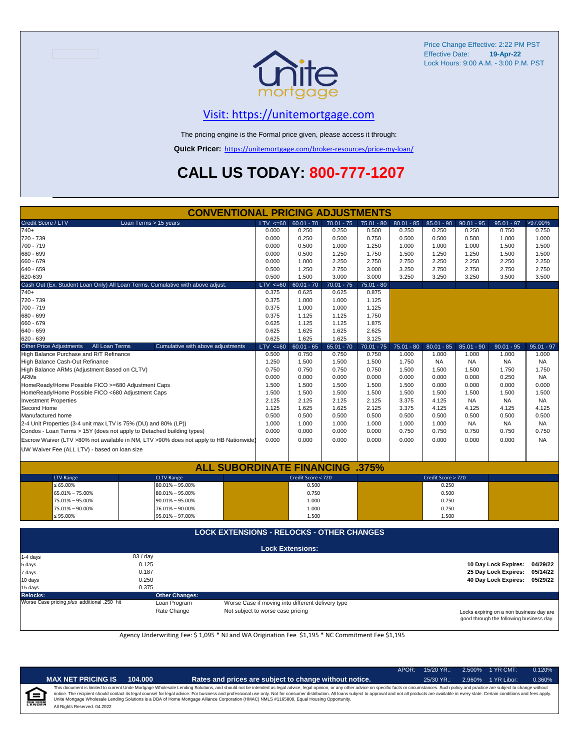

### [V](https://unitemortgage.com/)isit: https://unitemortgage.com

The pricing engine is the Formal price given, please access it through:

**Quick Pricer:** [https://un](https://unitemortgage.com/broker-resources/price-my-loan/)itemortgage.com/broker-resources/price-my-loan/

## **CALL US TODAY: 800-777-1207**

| <b>CONVENTIONAL PRICING ADJUSTMENTS</b>                                        |                       |                                                                                        |              |                         |              |              |              |                    |              |                      |              |  |
|--------------------------------------------------------------------------------|-----------------------|----------------------------------------------------------------------------------------|--------------|-------------------------|--------------|--------------|--------------|--------------------|--------------|----------------------|--------------|--|
| Credit Score / LTV                                                             | Loan Terms > 15 years |                                                                                        | LTV < 60     | $60.01 - 70$            | $70.01 - 75$ | $75.01 - 80$ | $80.01 - 85$ | $85.01 - 90$       | $90.01 - 95$ | $95.01 - 97$         | >97.00%      |  |
| $740+$                                                                         |                       |                                                                                        | 0.000        | 0.250                   | 0.250        | 0.500        | 0.250        | 0.250              | 0.250        | 0.750                | 0.750        |  |
| 720 - 739                                                                      |                       |                                                                                        | 0.000        | 0.250                   | 0.500        | 0.750        | 0.500        | 0.500              | 0.500        | 1.000                | 1.000        |  |
| 700 - 719                                                                      |                       |                                                                                        | 0.000        | 0.500                   | 1.000        | 1.250        | 1.000        | 1.000              | 1.000        | 1.500                | 1.500        |  |
| 680 - 699                                                                      |                       |                                                                                        | 0.000        | 0.500                   | 1.250        | 1.750        | 1.500        | 1.250              | 1.250        | 1.500                | 1.500        |  |
| 660 - 679                                                                      |                       |                                                                                        | 0.000        | 1.000                   | 2.250        | 2.750        | 2.750        | 2.250              | 2.250        | 2.250                | 2.250        |  |
| 640 - 659                                                                      |                       |                                                                                        | 0.500        | 1.250                   | 2.750        | 3.000        | 3.250        | 2.750              | 2.750        | 2.750                | 2.750        |  |
| 620-639                                                                        |                       |                                                                                        | 0.500        | 1.500                   | 3.000        | 3.000        | 3.250        | 3.250              | 3.250        | 3.500                | 3.500        |  |
| Cash Out (Ex. Student Loan Only) All Loan Terms. Cumulative with above adjust. |                       |                                                                                        | $LTV = 60$   | $60.01 - 70$            | $70.01 - 75$ | $75.01 - 80$ |              |                    |              |                      |              |  |
| $740+$                                                                         |                       |                                                                                        | 0.375        | 0.625                   | 0.625        | 0.875        |              |                    |              |                      |              |  |
| 720 - 739                                                                      |                       |                                                                                        | 0.375        | 1.000                   | 1.000        | 1.125        |              |                    |              |                      |              |  |
| 700 - 719                                                                      |                       |                                                                                        | 0.375        | 1.000                   | 1.000        | 1.125        |              |                    |              |                      |              |  |
| 680 - 699                                                                      |                       |                                                                                        | 0.375        | 1.125                   | 1.125        | 1.750        |              |                    |              |                      |              |  |
| 660 - 679                                                                      |                       |                                                                                        | 0.625        | 1.125                   | 1.125        | 1.875        |              |                    |              |                      |              |  |
| 640 - 659                                                                      |                       |                                                                                        | 0.625        | 1.625                   | 1.625        | 2.625        |              |                    |              |                      |              |  |
| 620 - 639                                                                      |                       |                                                                                        | 0.625        | 1.625                   | 1.625        | 3.125        |              |                    |              |                      |              |  |
| <b>Other Price Adjustments</b>                                                 | All Loan Terms        | Cumulative with above adjustments                                                      | $LTV \le 60$ | $60.01 - 65$            | $65.01 - 70$ | $70.01 - 75$ | $75.01 - 80$ | $80.01 - 85$       | $85.01 - 90$ | $90.01 - 95$         | $95.01 - 97$ |  |
| High Balance Purchase and R/T Refinance                                        |                       |                                                                                        | 0.500        | 0.750                   | 0.750        | 0.750        | 1.000        | 1.000              | 1.000        | 1.000                | 1.000        |  |
| High Balance Cash-Out Refinance                                                |                       |                                                                                        | 1.250        | 1.500                   | 1.500        | 1.500        | 1.750        | <b>NA</b>          | <b>NA</b>    | <b>NA</b>            | <b>NA</b>    |  |
| High Balance ARMs (Adjustment Based on CLTV)                                   |                       |                                                                                        | 0.750        | 0.750                   | 0.750        | 0.750        | 1.500        | 1.500              | 1.500        | 1.750                | 1.750        |  |
| <b>ARMs</b>                                                                    |                       |                                                                                        | 0.000        | 0.000                   | 0.000        | 0.000        | 0.000        | 0.000              | 0.000        | 0.250                | <b>NA</b>    |  |
| HomeReady/Home Possible FICO >=680 Adjustment Caps                             |                       |                                                                                        | 1.500        | 1.500                   | 1.500        | 1.500        | 1.500        | 0.000              | 0.000        | 0.000                | 0.000        |  |
| HomeReady/Home Possible FICO <680 Adjustment Caps                              |                       |                                                                                        | 1.500        | 1.500                   | 1.500        | 1.500        | 1.500        | 1.500              | 1.500        | 1.500                | 1.500        |  |
| <b>Investment Properties</b>                                                   |                       |                                                                                        | 2.125        | 2.125                   | 2.125        | 2.125        | 3.375        | 4.125              | <b>NA</b>    | <b>NA</b>            | <b>NA</b>    |  |
| Second Home                                                                    |                       |                                                                                        | 1.125        | 1.625                   | 1.625        | 2.125        | 3.375        | 4.125              | 4.125        | 4.125                | 4.125        |  |
| Manufactured home                                                              |                       |                                                                                        | 0.500        | 0.500                   | 0.500        | 0.500        | 0.500        | 0.500              | 0.500        | 0.500                | 0.500        |  |
| 2-4 Unit Properties (3-4 unit max LTV is 75% (DU) and 80% (LP))                |                       |                                                                                        | 1.000        | 1.000                   | 1.000        | 1.000        | 1.000        | 1.000              | <b>NA</b>    | <b>NA</b>            | NA           |  |
| Condos - Loan Terms > 15Y (does not apply to Detached building types)          |                       |                                                                                        | 0.000        | 0.000                   | 0.000        | 0.000        | 0.750        | 0.750              | 0.750        | 0.750                | 0.750        |  |
|                                                                                |                       | Escrow Waiver (LTV >80% not available in NM, LTV >90% does not apply to HB Nationwide) | 0.000        | 0.000                   | 0.000        | 0.000        | 0.000        | 0.000              | 0.000        | 0.000                | <b>NA</b>    |  |
| UW Waiver Fee (ALL LTV) - based on loan size                                   |                       |                                                                                        |              |                         |              |              |              |                    |              |                      |              |  |
|                                                                                |                       |                                                                                        |              |                         |              |              |              |                    |              |                      |              |  |
|                                                                                |                       | <b>ALL SUBORDINATE FINANCING</b>                                                       |              |                         |              | .375%        |              |                    |              |                      |              |  |
| <b>LTV Range</b>                                                               |                       | <b>CLTV Range</b>                                                                      |              | Credit Score < 720      |              |              |              | Credit Score > 720 |              |                      |              |  |
| $\leq 65.00\%$                                                                 |                       | $80.01\% - 95.00\%$                                                                    |              | 0.500                   |              |              |              | 0.250              |              |                      |              |  |
| 65.01% - 75.00%                                                                |                       | $80.01\% - 95.00\%$                                                                    |              | 0.750                   |              |              |              | 0.500              |              |                      |              |  |
| 75.01% - 95.00%                                                                |                       | $90.01\% - 95.00\%$                                                                    |              | 1.000                   |              |              |              | 0.750              |              |                      |              |  |
| 75.01% - 90.00%                                                                |                       | 76.01% - 90.00%                                                                        |              | 1.000                   |              |              |              | 0.750              |              |                      |              |  |
| $\leq 95.00\%$                                                                 |                       | 95.01% - 97.00%                                                                        |              | 1.500                   |              |              |              | 1.500              |              |                      |              |  |
|                                                                                |                       |                                                                                        |              |                         |              |              |              |                    |              |                      |              |  |
|                                                                                |                       | <b>LOCK EXTENSIONS - RELOCKS - OTHER CHANGES</b>                                       |              |                         |              |              |              |                    |              |                      |              |  |
|                                                                                |                       |                                                                                        |              | <b>Lock Extensions:</b> |              |              |              |                    |              |                      |              |  |
| 1-4 days                                                                       | .03 / day             |                                                                                        |              |                         |              |              |              |                    |              |                      |              |  |
| 5 days                                                                         | 0.125                 |                                                                                        |              |                         |              |              |              |                    |              | 10 Day Lock Expires: | 04/29/22     |  |
| 7 days                                                                         | 0.187                 |                                                                                        |              |                         |              |              |              |                    |              | 25 Day Lock Expires: | 05/14/22     |  |
| 10 days                                                                        | 0.250                 |                                                                                        |              |                         |              |              |              |                    |              | 40 Day Lock Expires: | 05/29/22     |  |
| 15 days                                                                        | 0.375                 |                                                                                        |              |                         |              |              |              |                    |              |                      |              |  |

**Relocks: Other Changes:**

Loan Program *plus* Worse Case if moving into different delivery type Rate Change Mot subject to worse case pricing

Locks expiring on a non business day are good through the following business day.

Agency Underwriting Fee: \$ 1,095 \* NJ and WA Origination Fee \$1,195 \* NC Commitment Fee \$1,195

| NDE<br>î |  |
|----------|--|
|          |  |

| ( NET PRICING IS | 104.000 |
|------------------|---------|
|------------------|---------|

**MAX NET PRICING IS 104.000 Rates and prices are subject to change without notice.** 25/30 YR.: 2.960% 1 YR Libor: 0.360%

APOR: 15/20 YR.: 2.500% 1 YR CMT: 0.120%

All Rights Reserved. 04.2022 This document is limited to current Unite Mortgage Wholesale Lending Solutions, and should not be intended as legal advice, legal opinion, or any other advice on specific facts or circumstances. Such policy and practice ar